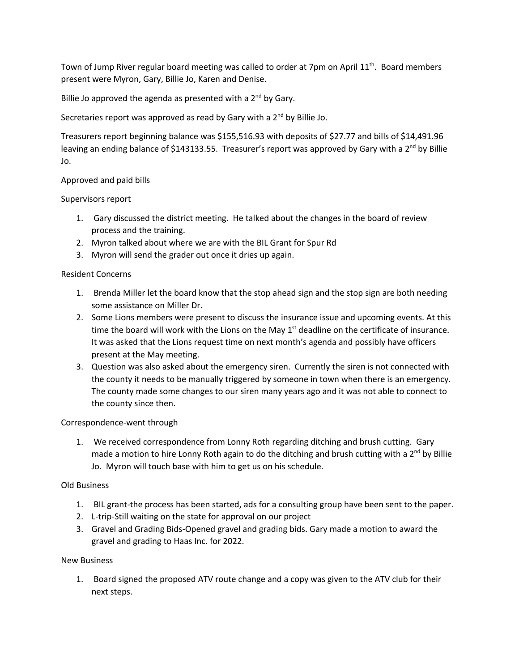Town of Jump River regular board meeting was called to order at 7pm on April  $11<sup>th</sup>$ . Board members present were Myron, Gary, Billie Jo, Karen and Denise.

Billie Jo approved the agenda as presented with a  $2<sup>nd</sup>$  by Gary.

Secretaries report was approved as read by Gary with a  $2<sup>nd</sup>$  by Billie Jo.

Treasurers report beginning balance was \$155,516.93 with deposits of \$27.77 and bills of \$14,491.96 leaving an ending balance of \$143133.55. Treasurer's report was approved by Gary with a 2<sup>nd</sup> by Billie Jo.

# Approved and paid bills

Supervisors report

- 1. Gary discussed the district meeting. He talked about the changes in the board of review process and the training.
- 2. Myron talked about where we are with the BIL Grant for Spur Rd
- 3. Myron will send the grader out once it dries up again.

### Resident Concerns

- 1. Brenda Miller let the board know that the stop ahead sign and the stop sign are both needing some assistance on Miller Dr.
- 2. Some Lions members were present to discuss the insurance issue and upcoming events. At this time the board will work with the Lions on the May  $1<sup>st</sup>$  deadline on the certificate of insurance. It was asked that the Lions request time on next month's agenda and possibly have officers present at the May meeting.
- 3. Question was also asked about the emergency siren. Currently the siren is not connected with the county it needs to be manually triggered by someone in town when there is an emergency. The county made some changes to our siren many years ago and it was not able to connect to the county since then.

### Correspondence-went through

1. We received correspondence from Lonny Roth regarding ditching and brush cutting. Gary made a motion to hire Lonny Roth again to do the ditching and brush cutting with a 2<sup>nd</sup> by Billie Jo. Myron will touch base with him to get us on his schedule.

### Old Business

- 1. BIL grant-the process has been started, ads for a consulting group have been sent to the paper.
- 2. L-trip-Still waiting on the state for approval on our project
- 3. Gravel and Grading Bids-Opened gravel and grading bids. Gary made a motion to award the gravel and grading to Haas Inc. for 2022.

# New Business

1. Board signed the proposed ATV route change and a copy was given to the ATV club for their next steps.